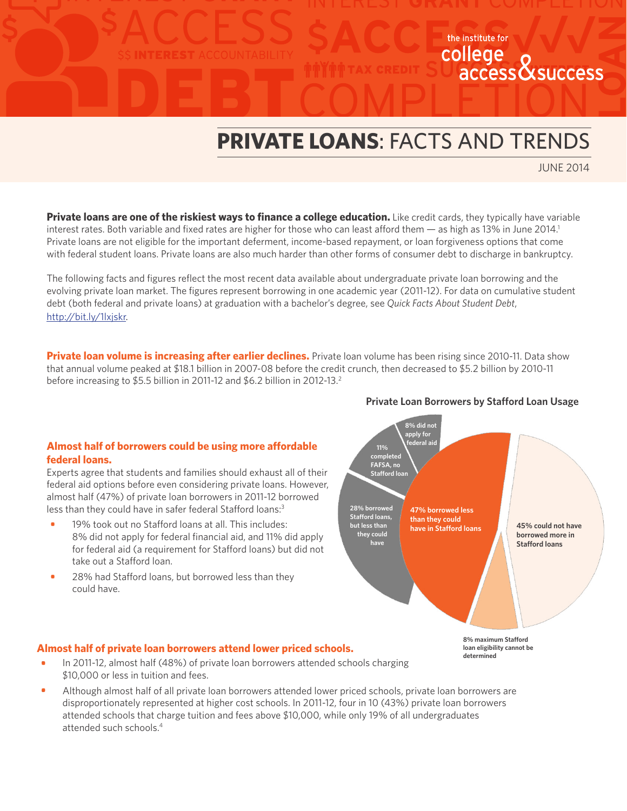# DEBT **PRIVATE LOANS**: FACTS AND TRENDS

JUNE 2014

access & success

**Private loans are one of the riskiest ways to finance a college education.** Like credit cards, they typically have variable interest rates. Both variable and fixed rates are higher for those who can least afford them  $-$  as high as 13% in June 2014.<sup>1</sup> Private loans are not eligible for the important deferment, income-based repayment, or loan forgiveness options that come with federal student loans. Private loans are also much harder than other forms of consumer debt to discharge in bankruptcy.

The following facts and figures reflect the most recent data available about undergraduate private loan borrowing and the evolving private loan market. The figures represent borrowing in one academic year (2011-12). For data on cumulative student debt (both federal and private loans) at graduation with a bachelor's degree, see *Quick Facts About Student Debt*, [http://bit.ly/1lxjskr.](http://bit.ly/1lxjskr)

**Private loan volume is increasing after earlier declines.** Private loan volume has been rising since 2010-11. Data show that annual volume peaked at \$18.1 billion in 2007-08 before the credit crunch, then decreased to \$5.2 billion by 2010-11 before increasing to \$5.5 billion in 2011-12 and \$6.2 billion in 2012-13.<sup>2</sup>

## **Almost half of borrowers could be using more affordable federal loans.**

Experts agree that students and families should exhaust all of their federal aid options before even considering private loans. However, almost half (47%) of private loan borrowers in 2011-12 borrowed less than they could have in safer federal Stafford loans:<sup>3</sup>

- 19% took out no Stafford loans at all. This includes: 8% did not apply for federal financial aid, and 11% did apply for federal aid (a requirement for Stafford loans) but did not take out a Stafford loan. **•**
- 28% had Stafford loans, but borrowed less than they could have. **•**



# **Almost half of private loan borrowers attend lower priced schools.**

- In 2011-12, almost half (48%) of private loan borrowers attended schools charging \$10,000 or less in tuition and fees. **•**
- Although almost half of all private loan borrowers attended lower priced schools, private loan borrowers are disproportionately represented at higher cost schools. In 2011-12, four in 10 (43%) private loan borrowers attended schools that charge tuition and fees above \$10,000, while only 19% of all undergraduates attended such schools.4 **•**

#### **Private Loan Borrowers by Stafford Loan Usage**

the institute for college